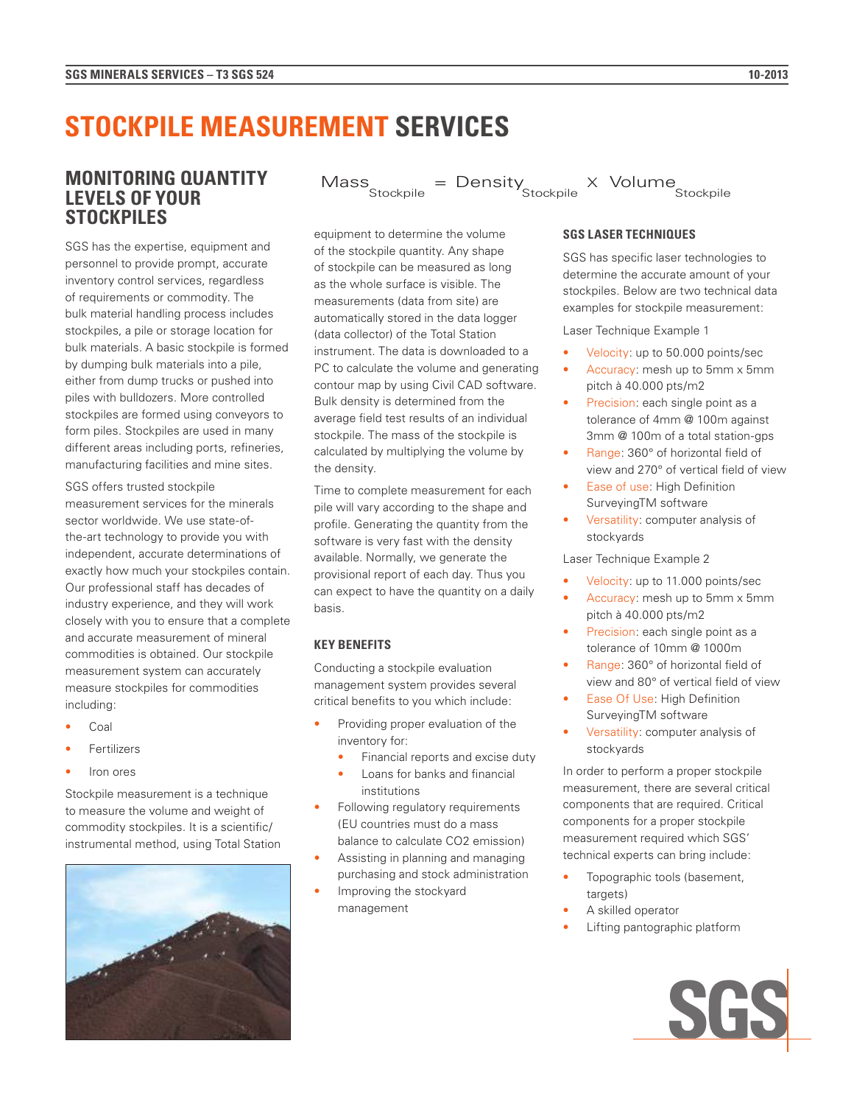## **STOCKPILE MEASUREMENT SERVICES**

### **MONITORING QUANTITY LEVELS OF YOUR STOCKPILES**

SGS has the expertise, equipment and personnel to provide prompt, accurate inventory control services, regardless of requirements or commodity. The bulk material handling process includes stockpiles, a pile or storage location for bulk materials. A basic stockpile is formed by dumping bulk materials into a pile, either from dump trucks or pushed into piles with bulldozers. More controlled stockpiles are formed using conveyors to form piles. Stockpiles are used in many different areas including ports, refineries, manufacturing facilities and mine sites.

SGS offers trusted stockpile measurement services for the minerals sector worldwide. We use state-ofthe-art technology to provide you with independent, accurate determinations of exactly how much your stockpiles contain. Our professional staff has decades of industry experience, and they will work closely with you to ensure that a complete and accurate measurement of mineral commodities is obtained. Our stockpile measurement system can accurately measure stockpiles for commodities including:

- Coal
- **Fertilizers**
- Iron ores

Stockpile measurement is a technique to measure the volume and weight of commodity stockpiles. It is a scientific/ instrumental method, using Total Station



Mass<br>Stockpile

equipment to determine the volume of the stockpile quantity. Any shape of stockpile can be measured as long as the whole surface is visible. The measurements (data from site) are automatically stored in the data logger (data collector) of the Total Station instrument. The data is downloaded to a PC to calculate the volume and generating contour map by using Civil CAD software. Bulk density is determined from the average field test results of an individual stockpile. The mass of the stockpile is calculated by multiplying the volume by the density.

Time to complete measurement for each pile will vary according to the shape and profile. Generating the quantity from the software is very fast with the density available. Normally, we generate the provisional report of each day. Thus you can expect to have the quantity on a daily basis.

#### **KEY BENEFITS**

Conducting a stockpile evaluation management system provides several critical benefits to you which include:

- Providing proper evaluation of the inventory for:
	- Financial reports and excise duty
	- Loans for banks and financial institutions
- Following regulatory requirements (EU countries must do a mass balance to calculate CO2 emission)
- Assisting in planning and managing purchasing and stock administration
- Improving the stockyard management

# Stockpile = Density<br>Stockpile X Volume Stockpile

#### **SGS LASER TECHNIQUES**

SGS has specific laser technologies to determine the accurate amount of your stockpiles. Below are two technical data examples for stockpile measurement:

Laser Technique Example 1

- Velocity: up to 50.000 points/sec
- Accuracy: mesh up to 5mm x 5mm pitch à 40.000 pts/m2
- Precision: each single point as a tolerance of 4mm @ 100m against 3mm @ 100m of a total station-gps
- Range: 360° of horizontal field of view and 270° of vertical field of view
- Ease of use: High Definition SurveyingTM software
- Versatility: computer analysis of stockyards

Laser Technique Example 2

- Velocity: up to 11.000 points/sec
- Accuracy: mesh up to 5mm x 5mm pitch à 40.000 pts/m2
- Precision: each single point as a tolerance of 10mm @ 1000m
- Range: 360° of horizontal field of view and 80° of vertical field of view
- Ease Of Use: High Definition SurveyingTM software
- Versatility: computer analysis of stockyards

In order to perform a proper stockpile measurement, there are several critical components that are required. Critical components for a proper stockpile measurement required which SGS' technical experts can bring include:

- Topographic tools (basement, targets)
- A skilled operator
- Lifting pantographic platform

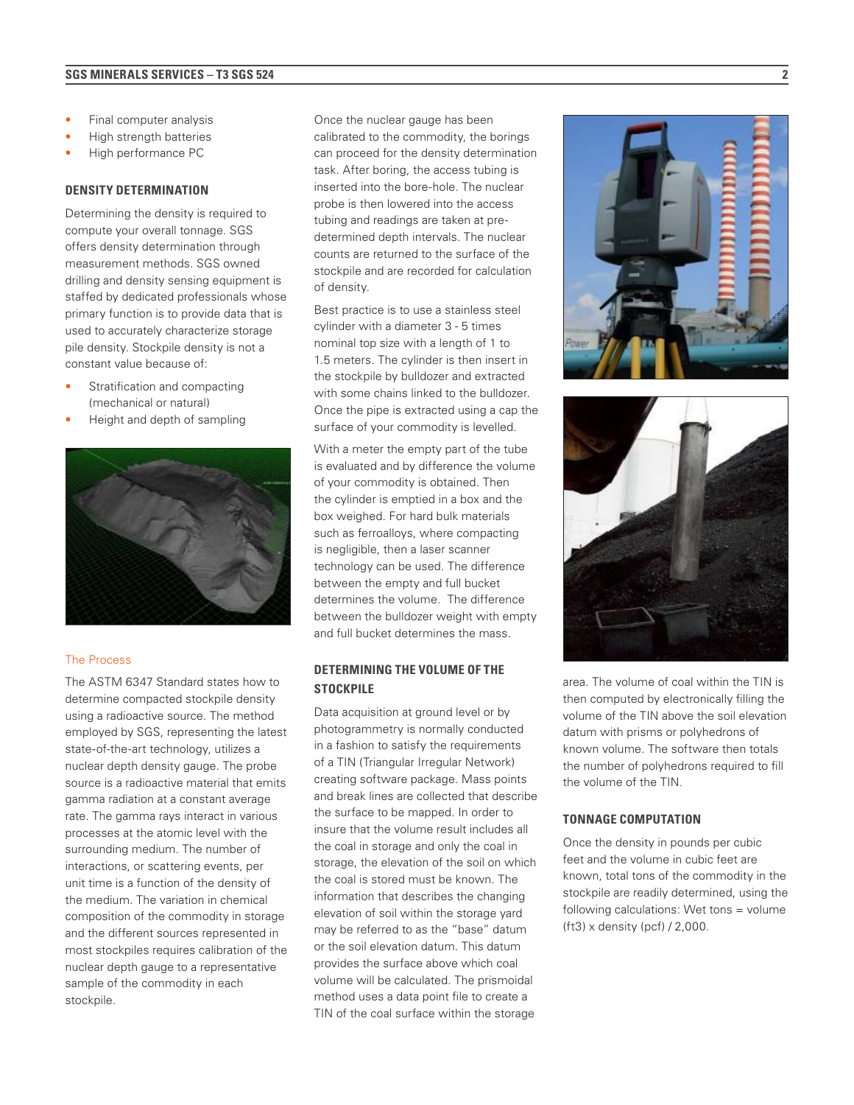- Final computer analysis
- High strength batteries
- High performance PC

#### **DENSITY DETERMINATION**

Determining the density is required to compute your overall tonnage. SGS offers density determination through measurement methods. SGS owned drilling and density sensing equipment is staffed by dedicated professionals whose primary function is to provide data that is used to accurately characterize storage pile density. Stockpile density is not a constant value because of:

- Stratification and compacting (mechanical or natural)
- Height and depth of sampling



#### The Process

The ASTM 6347 Standard states how to determine compacted stockpile density using a radioactive source. The method employed by SGS, representing the latest state-of-the-art technology, utilizes a nuclear depth density gauge. The probe source is a radioactive material that emits gamma radiation at a constant average rate. The gamma rays interact in various processes at the atomic level with the surrounding medium. The number of interactions, or scattering events, per unit time is a function of the density of the medium. The variation in chemical composition of the commodity in storage and the different sources represented in most stockpiles requires calibration of the nuclear depth gauge to a representative sample of the commodity in each stockpile.

Once the nuclear gauge has been calibrated to the commodity, the borings can proceed for the density determination task. After boring, the access tubing is inserted into the bore-hole. The nuclear probe is then lowered into the access tubing and readings are taken at predetermined depth intervals. The nuclear counts are returned to the surface of the stockpile and are recorded for calculation of density.

Best practice is to use a stainless steel cylinder with a diameter 3 - 5 times nominal top size with a length of 1 to 1.5 meters. The cylinder is then insert in the stockpile by bulldozer and extracted with some chains linked to the bulldozer. Once the pipe is extracted using a cap the surface of your commodity is levelled.

With a meter the empty part of the tube is evaluated and by difference the volume of your commodity is obtained. Then the cylinder is emptied in a box and the box weighed. For hard bulk materials such as ferroalloys, where compacting is negligible, then a laser scanner technology can be used. The difference between the empty and full bucket determines the volume. The difference between the bulldozer weight with empty and full bucket determines the mass.

#### **DETERMINING THE VOLUME OF THE STOCKPILE**

Data acquisition at ground level or by photogrammetry is normally conducted in a fashion to satisfy the requirements of a TIN (Triangular Irregular Network) creating software package. Mass points and break lines are collected that describe the surface to be mapped. In order to insure that the volume result includes all the coal in storage and only the coal in storage, the elevation of the soil on which the coal is stored must be known. The information that describes the changing elevation of soil within the storage yard may be referred to as the "base" datum or the soil elevation datum. This datum provides the surface above which coal volume will be calculated. The prismoidal method uses a data point file to create a TIN of the coal surface within the storage





area. The volume of coal within the TIN is then computed by electronically filling the volume of the TIN above the soil elevation datum with prisms or polyhedrons of known volume. The software then totals the number of polyhedrons required to fill the volume of the TIN.

#### **TONNAGE COMPUTATION**

Once the density in pounds per cubic feet and the volume in cubic feet are known, total tons of the commodity in the stockpile are readily determined, using the following calculations: Wet tons = volume (ft3) x density (pcf) / 2,000.